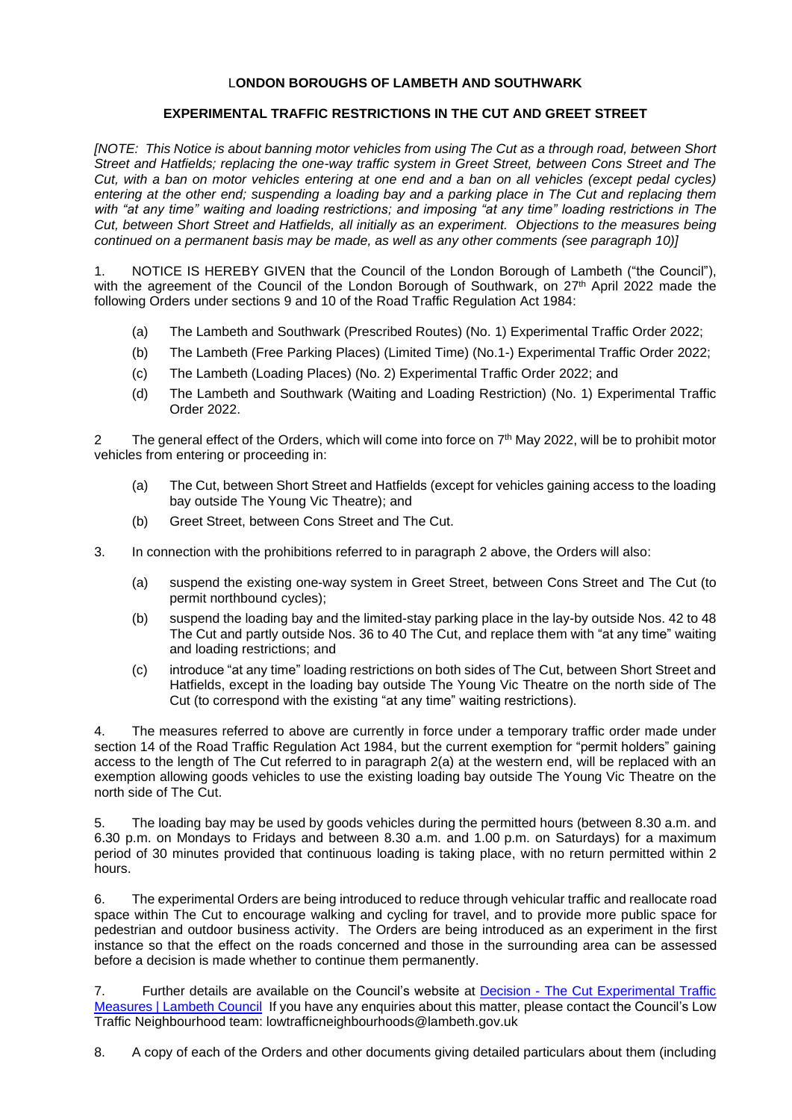## L**ONDON BOROUGHS OF LAMBETH AND SOUTHWARK**

## **EXPERIMENTAL TRAFFIC RESTRICTIONS IN THE CUT AND GREET STREET**

*[NOTE: This Notice is about banning motor vehicles from using The Cut as a through road, between Short Street and Hatfields; replacing the one-way traffic system in Greet Street, between Cons Street and The Cut, with a ban on motor vehicles entering at one end and a ban on all vehicles (except pedal cycles) entering at the other end; suspending a loading bay and a parking place in The Cut and replacing them with "at any time" waiting and loading restrictions; and imposing "at any time" loading restrictions in The Cut, between Short Street and Hatfields, all initially as an experiment. Objections to the measures being continued on a permanent basis may be made, as well as any other comments (see paragraph 10)]*

1. NOTICE IS HEREBY GIVEN that the Council of the London Borough of Lambeth ("the Council"), with the agreement of the Council of the London Borough of Southwark, on 27<sup>th</sup> April 2022 made the following Orders under sections 9 and 10 of the Road Traffic Regulation Act 1984:

- (a) The Lambeth and Southwark (Prescribed Routes) (No. 1) Experimental Traffic Order 2022;
- (b) The Lambeth (Free Parking Places) (Limited Time) (No.1-) Experimental Traffic Order 2022;
- (c) The Lambeth (Loading Places) (No. 2) Experimental Traffic Order 2022; and
- (d) The Lambeth and Southwark (Waiting and Loading Restriction) (No. 1) Experimental Traffic Order 2022.

2 The general effect of the Orders, which will come into force on  $7<sup>th</sup>$  May 2022, will be to prohibit motor vehicles from entering or proceeding in:

- (a) The Cut, between Short Street and Hatfields (except for vehicles gaining access to the loading bay outside The Young Vic Theatre); and
- (b) Greet Street, between Cons Street and The Cut.
- 3. In connection with the prohibitions referred to in paragraph 2 above, the Orders will also:
	- (a) suspend the existing one-way system in Greet Street, between Cons Street and The Cut (to permit northbound cycles);
	- (b) suspend the loading bay and the limited-stay parking place in the lay-by outside Nos. 42 to 48 The Cut and partly outside Nos. 36 to 40 The Cut, and replace them with "at any time" waiting and loading restrictions; and
	- (c) introduce "at any time" loading restrictions on both sides of The Cut, between Short Street and Hatfields, except in the loading bay outside The Young Vic Theatre on the north side of The Cut (to correspond with the existing "at any time" waiting restrictions).

4. The measures referred to above are currently in force under a temporary traffic order made under section 14 of the Road Traffic Regulation Act 1984, but the current exemption for "permit holders" gaining access to the length of The Cut referred to in paragraph 2(a) at the western end, will be replaced with an exemption allowing goods vehicles to use the existing loading bay outside The Young Vic Theatre on the north side of The Cut.

5. The loading bay may be used by goods vehicles during the permitted hours (between 8.30 a.m. and 6.30 p.m. on Mondays to Fridays and between 8.30 a.m. and 1.00 p.m. on Saturdays) for a maximum period of 30 minutes provided that continuous loading is taking place, with no return permitted within 2 hours.

6. The experimental Orders are being introduced to reduce through vehicular traffic and reallocate road space within The Cut to encourage walking and cycling for travel, and to provide more public space for pedestrian and outdoor business activity. The Orders are being introduced as an experiment in the first instance so that the effect on the roads concerned and those in the surrounding area can be assessed before a decision is made whether to continue them permanently.

7. Further details are available on the Council's website at Decision - [The Cut Experimental Traffic](https://moderngov.lambeth.gov.uk/ieDecisionDetails.aspx?ID=8079)  [Measures | Lambeth Council](https://moderngov.lambeth.gov.uk/ieDecisionDetails.aspx?ID=8079) If you have any enquiries about this matter, please contact the Council's Low Traffic Neighbourhood team: lowtrafficneighbourhoods@lambeth.gov.uk

8. A copy of each of the Orders and other documents giving detailed particulars about them (including